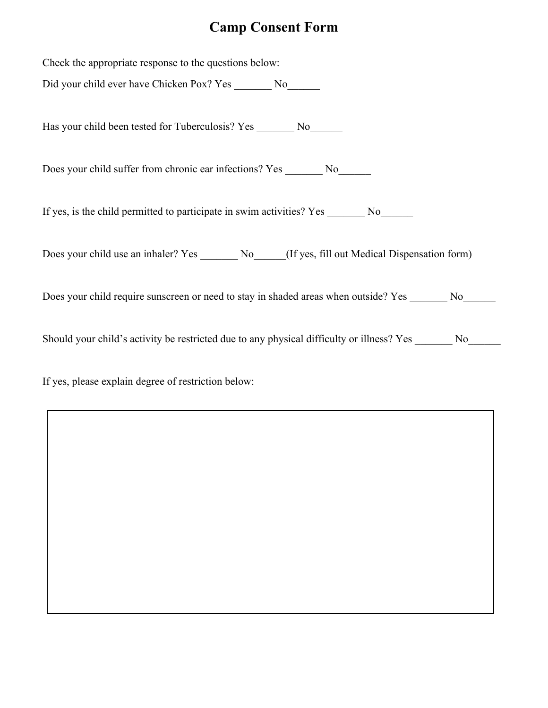# **Camp Consent Form**

| Check the appropriate response to the questions below:                                                     |
|------------------------------------------------------------------------------------------------------------|
| Did your child ever have Chicken Pox? Yes ________ No_______                                               |
|                                                                                                            |
|                                                                                                            |
|                                                                                                            |
| Does your child suffer from chronic ear infections? Yes _________ No                                       |
|                                                                                                            |
| If yes, is the child permitted to participate in swim activities? Yes ________ No_______                   |
|                                                                                                            |
|                                                                                                            |
| Does your child use an inhaler? Yes ________ No_____(If yes, fill out Medical Dispensation form)           |
|                                                                                                            |
| Does your child require sunscreen or need to stay in shaded areas when outside? Yes No                     |
|                                                                                                            |
| Should your child's activity be restricted due to any physical difficulty or illness? Yes _______ No______ |
|                                                                                                            |
|                                                                                                            |
| If yes, please explain degree of restriction below:                                                        |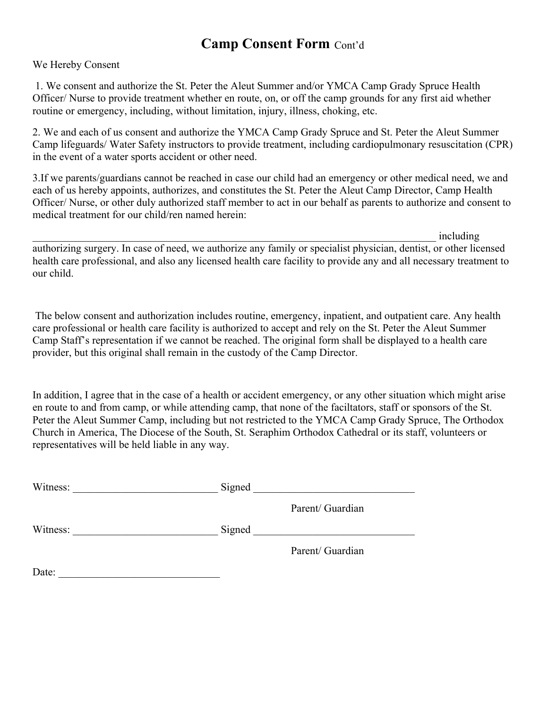### **Camp Consent Form** Cont'd

#### We Hereby Consent

 1. We consent and authorize the St. Peter the Aleut Summer and/or YMCA Camp Grady Spruce Health Officer/ Nurse to provide treatment whether en route, on, or off the camp grounds for any first aid whether routine or emergency, including, without limitation, injury, illness, choking, etc.

2. We and each of us consent and authorize the YMCA Camp Grady Spruce and St. Peter the Aleut Summer Camp lifeguards/ Water Safety instructors to provide treatment, including cardiopulmonary resuscitation (CPR) in the event of a water sports accident or other need.

3.If we parents/guardians cannot be reached in case our child had an emergency or other medical need, we and each of us hereby appoints, authorizes, and constitutes the St. Peter the Aleut Camp Director, Camp Health Officer/ Nurse, or other duly authorized staff member to act in our behalf as parents to authorize and consent to medical treatment for our child/ren named herein:

 $\blacksquare$ authorizing surgery. In case of need, we authorize any family or specialist physician, dentist, or other licensed health care professional, and also any licensed health care facility to provide any and all necessary treatment to our child.

 The below consent and authorization includes routine, emergency, inpatient, and outpatient care. Any health care professional or health care facility is authorized to accept and rely on the St. Peter the Aleut Summer Camp Staff's representation if we cannot be reached. The original form shall be displayed to a health care provider, but this original shall remain in the custody of the Camp Director.

In addition, I agree that in the case of a health or accident emergency, or any other situation which might arise en route to and from camp, or while attending camp, that none of the faciltators, staff or sponsors of the St. Peter the Aleut Summer Camp, including but not restricted to the YMCA Camp Grady Spruce, The Orthodox Church in America, The Diocese of the South, St. Seraphim Orthodox Cathedral or its staff, volunteers or representatives will be held liable in any way.

| Witness: | Signed |                  |
|----------|--------|------------------|
|          |        | Parent/ Guardian |
| Witness: | Signed |                  |
|          |        | Parent/ Guardian |
| Date:    |        |                  |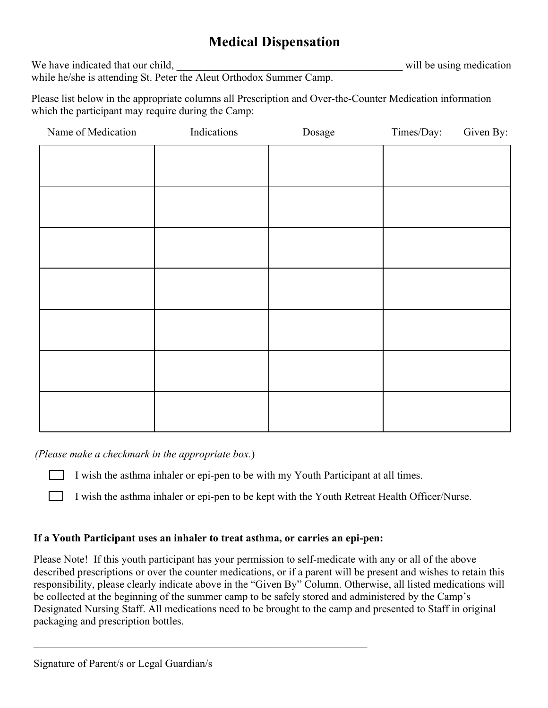## **Medical Dispensation**

We have indicated that our child, will be using medication

while he/she is attending St. Peter the Aleut Orthodox Summer Camp.

Please list below in the appropriate columns all Prescription and Over-the-Counter Medication information which the participant may require during the Camp:

| Name of Medication | Indications | Dosage | Times/Day: | Given By: |
|--------------------|-------------|--------|------------|-----------|
|                    |             |        |            |           |
|                    |             |        |            |           |
|                    |             |        |            |           |
|                    |             |        |            |           |
|                    |             |        |            |           |
|                    |             |        |            |           |
|                    |             |        |            |           |
|                    |             |        |            |           |
|                    |             |        |            |           |
|                    |             |        |            |           |
|                    |             |        |            |           |
|                    |             |        |            |           |
|                    |             |        |            |           |

*(Please make a checkmark in the appropriate box.*)

I wish the asthma inhaler or epi-pen to be with my Youth Participant at all times.

I wish the asthma inhaler or epi-pen to be kept with the Youth Retreat Health Officer/Nurse.

#### **If a Youth Participant uses an inhaler to treat asthma, or carries an epi-pen:**

\_\_\_\_\_\_\_\_\_\_\_\_\_\_\_\_\_\_\_\_\_\_\_\_\_\_\_\_\_\_\_\_\_\_\_\_\_\_\_\_\_\_\_\_\_\_\_\_\_\_\_\_\_\_\_\_\_\_\_\_\_\_

Please Note! If this youth participant has your permission to self-medicate with any or all of the above described prescriptions or over the counter medications, or if a parent will be present and wishes to retain this responsibility, please clearly indicate above in the "Given By" Column. Otherwise, all listed medications will be collected at the beginning of the summer camp to be safely stored and administered by the Camp's Designated Nursing Staff. All medications need to be brought to the camp and presented to Staff in original packaging and prescription bottles.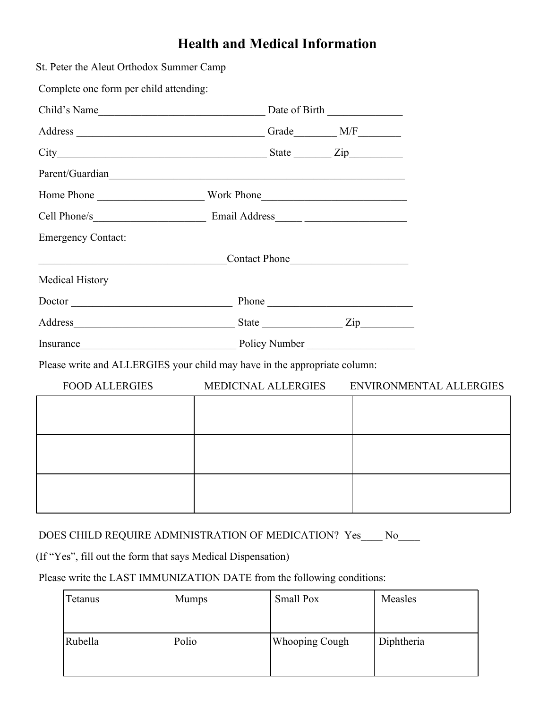## **Health and Medical Information**

| St. Peter the Aleut Orthodox Summer Camp                                  |                     |               |                         |
|---------------------------------------------------------------------------|---------------------|---------------|-------------------------|
| Complete one form per child attending:                                    |                     |               |                         |
|                                                                           |                     |               |                         |
|                                                                           |                     |               |                         |
|                                                                           |                     |               |                         |
| Parent/Guardian                                                           |                     |               |                         |
|                                                                           |                     |               |                         |
|                                                                           |                     |               |                         |
| <b>Emergency Contact:</b>                                                 |                     |               |                         |
|                                                                           |                     | Contact Phone |                         |
| Medical History                                                           |                     |               |                         |
| Doctor Phone Phone Phone                                                  |                     |               |                         |
|                                                                           |                     |               |                         |
| Insurance Policy Number                                                   |                     |               |                         |
| Please write and ALLERGIES your child may have in the appropriate column: |                     |               |                         |
| <b>FOOD ALLERGIES</b>                                                     | MEDICINAL ALLERGIES |               | ENVIRONMENTAL ALLERGIES |
|                                                                           |                     |               |                         |
|                                                                           |                     |               |                         |
|                                                                           |                     |               |                         |
|                                                                           |                     |               |                         |
|                                                                           |                     |               |                         |
|                                                                           |                     |               |                         |
|                                                                           |                     |               |                         |

### DOES CHILD REQUIRE ADMINISTRATION OF MEDICATION? Yes\_\_\_\_ No\_\_\_\_

(If "Yes", fill out the form that says Medical Dispensation)

### Please write the LAST IMMUNIZATION DATE from the following conditions:

| Tetanus | <b>Mumps</b> | Small Pox             | Measles    |
|---------|--------------|-----------------------|------------|
| Rubella | Polio        | <b>Whooping Cough</b> | Diphtheria |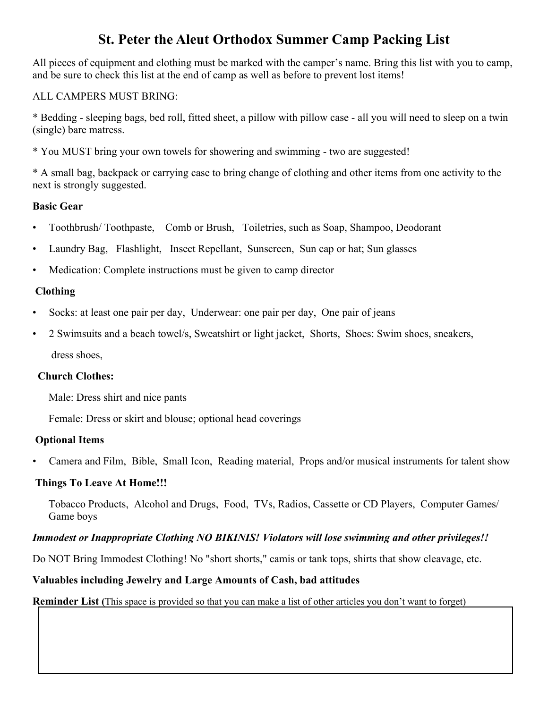### **St. Peter the Aleut Orthodox Summer Camp Packing List**

All pieces of equipment and clothing must be marked with the camper's name. Bring this list with you to camp, and be sure to check this list at the end of camp as well as before to prevent lost items!

### ALL CAMPERS MUST BRING:

\* Bedding - sleeping bags, bed roll, fitted sheet, a pillow with pillow case - all you will need to sleep on a twin (single) bare matress.

\* You MUST bring your own towels for showering and swimming - two are suggested!

\* A small bag, backpack or carrying case to bring change of clothing and other items from one activity to the next is strongly suggested.

### **Basic Gear**

- Toothbrush/ Toothpaste, Comb or Brush, Toiletries, such as Soap, Shampoo, Deodorant
- Laundry Bag, Flashlight, Insect Repellant, Sunscreen, Sun cap or hat; Sun glasses
- Medication: Complete instructions must be given to camp director

### **Clothing**

- Socks: at least one pair per day, Underwear: one pair per day, One pair of jeans
- 2 Swimsuits and a beach towel/s, Sweatshirt or light jacket, Shorts, Shoes: Swim shoes, sneakers,

### dress shoes,

### **Church Clothes:**

Male: Dress shirt and nice pants

Female: Dress or skirt and blouse; optional head coverings

### **Optional Items**

• Camera and Film, Bible, Small Icon, Reading material, Props and/or musical instruments for talent show

### **Things To Leave At Home!!!**

 Tobacco Products, Alcohol and Drugs, Food, TVs, Radios, Cassette or CD Players, Computer Games/ Game boys

### *Immodest or Inappropriate Clothing NO BIKINIS! Violators will lose swimming and other privileges!!*

Do NOT Bring Immodest Clothing! No "short shorts," camis or tank tops, shirts that show cleavage, etc.

### **Valuables including Jewelry and Large Amounts of Cash, bad attitudes**

**Reminder List (**This space is provided so that you can make a list of other articles you don't want to forget)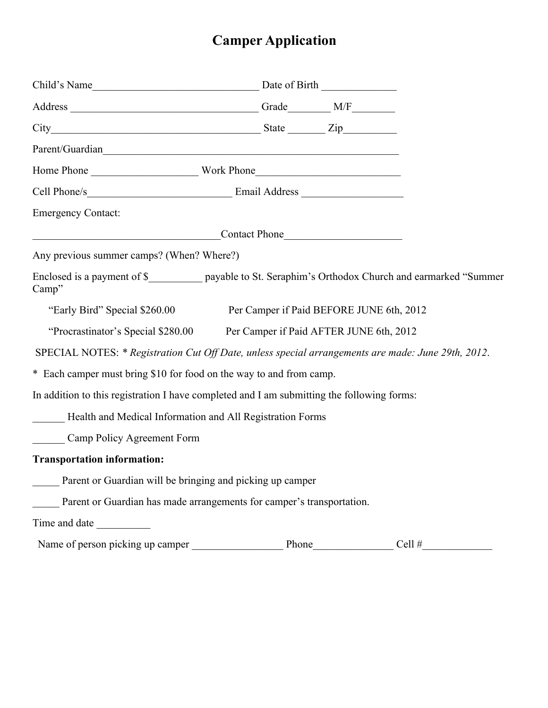# **Camper Application**

| Parent/Guardian                                                                                                   |       |          |
|-------------------------------------------------------------------------------------------------------------------|-------|----------|
|                                                                                                                   |       |          |
|                                                                                                                   |       |          |
| <b>Emergency Contact:</b>                                                                                         |       |          |
| Contact Phone                                                                                                     |       |          |
| Any previous summer camps? (When? Where?)                                                                         |       |          |
| Enclosed is a payment of \$_____________ payable to St. Seraphim's Orthodox Church and earmarked "Summer<br>Camp" |       |          |
| "Early Bird" Special \$260.00 Per Camper if Paid BEFORE JUNE 6th, 2012                                            |       |          |
| "Procrastinator's Special \$280.00 Per Camper if Paid AFTER JUNE 6th, 2012                                        |       |          |
| SPECIAL NOTES: * Registration Cut Off Date, unless special arrangements are made: June 29th, 2012.                |       |          |
| * Each camper must bring \$10 for food on the way to and from camp.                                               |       |          |
| In addition to this registration I have completed and I am submitting the following forms:                        |       |          |
| Health and Medical Information and All Registration Forms                                                         |       |          |
| Camp Policy Agreement Form                                                                                        |       |          |
| <b>Transportation information:</b>                                                                                |       |          |
| <b>Example 1</b> Parent or Guardian will be bringing and picking up camper                                        |       |          |
| Parent or Guardian has made arrangements for camper's transportation.                                             |       |          |
|                                                                                                                   |       |          |
| Name of person picking up camper                                                                                  | Phone | Cell $#$ |